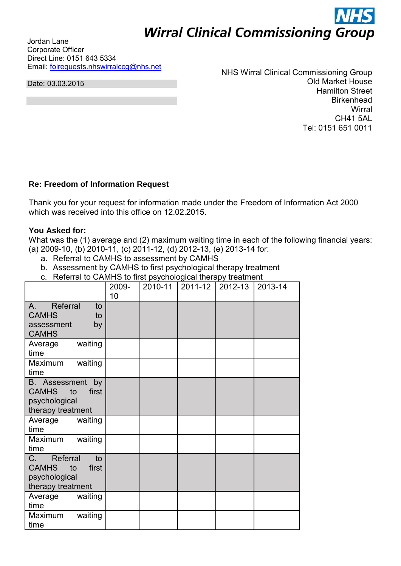# **Wirral Clinical Commissioning Group**

Jordan Lane Corporate Officer Direct Line: 0151 643 5334 Email: [foirequests.nhswirralccg@nhs.net](mailto:foirequests.nhswirralccg@nhs.net) 

Date: 03.03.2015

NHS Wirral Clinical Commissioning Group Old Market House Hamilton Street **Birkenhead Wirral** CH41 5AL Tel: 0151 651 0011

## **Re: Freedom of Information Request**

Thank you for your request for information made under the Freedom of Information Act 2000 which was received into this office on 12.02.2015.

### **You Asked for:**

What was the (1) average and (2) maximum waiting time in each of the following financial years: (a) 2009-10, (b) 2010-11, (c) 2011-12, (d) 2012-13, (e) 2013-14 for:

- a. Referral to CAMHS to assessment by CAMHS
- b. Assessment by CAMHS to first psychological therapy treatment
- c. Referral to CAMHS to first psychological therapy treatment

|                                                                                           | 2009-<br>10 | 2010-11 | $2011 - 12$ | $2012 - 13$ | 2013-14 |
|-------------------------------------------------------------------------------------------|-------------|---------|-------------|-------------|---------|
| Referral<br>to<br>$A_{1}$<br><b>CAMHS</b><br>to<br>assessment<br>by<br><b>CAMHS</b>       |             |         |             |             |         |
| waiting<br>Average<br>time                                                                |             |         |             |             |         |
| Maximum<br>waiting<br>time                                                                |             |         |             |             |         |
| <b>B.</b> Assessment<br>by<br>CAMHS to<br>first<br>psychological<br>therapy treatment     |             |         |             |             |         |
| Average<br>waiting<br>time                                                                |             |         |             |             |         |
| Maximum<br>waiting<br>time                                                                |             |         |             |             |         |
| Referral<br>C.<br>to<br><b>CAMHS</b><br>first<br>to<br>psychological<br>therapy treatment |             |         |             |             |         |
| waiting<br>Average<br>time                                                                |             |         |             |             |         |
| waiting<br>Maximum<br>time                                                                |             |         |             |             |         |